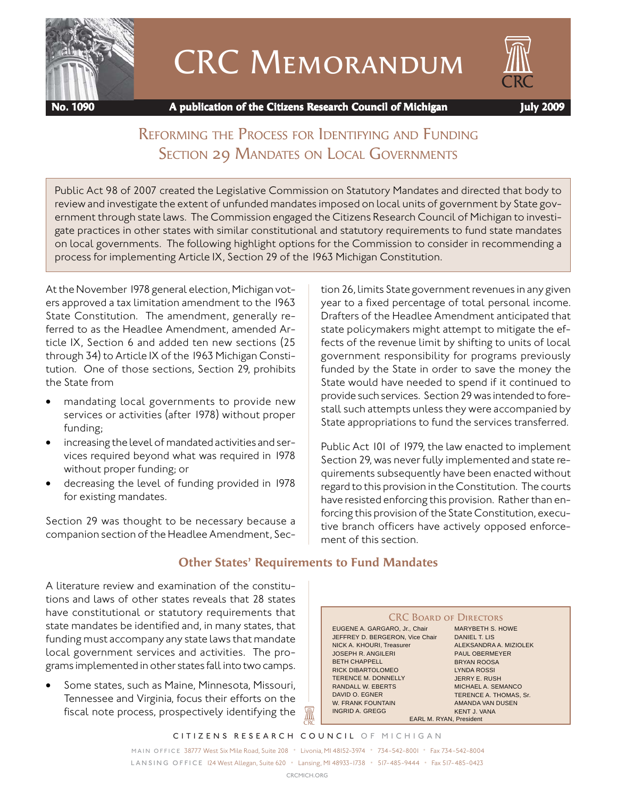

# CRC Memorandum



 **No. 1090 A publication of the Citizens Research Council of Michigan July 2009**

# REFORMING THE PROCESS FOR IDENTIFYING AND FUNDING SECTION 29 MANDATES ON LOCAL GOVERNMENTS

Public Act 98 of 2007 created the Legislative Commission on Statutory Mandates and directed that body to review and investigate the extent of unfunded mandates imposed on local units of government by State government through state laws. The Commission engaged the Citizens Research Council of Michigan to investigate practices in other states with similar constitutional and statutory requirements to fund state mandates on local governments. The following highlight options for the Commission to consider in recommending a process for implementing Article IX, Section 29 of the 1963 Michigan Constitution.

At the November 1978 general election, Michigan voters approved a tax limitation amendment to the 1963 State Constitution. The amendment, generally referred to as the Headlee Amendment, amended Article IX, Section 6 and added ten new sections (25 through 34) to Article IX of the 1963 Michigan Constitution. One of those sections, Section 29, prohibits the State from

- mandating local governments to provide new services or activities (after 1978) without proper funding;
- increasing the level of mandated activities and services required beyond what was required in 1978 without proper funding; or
- decreasing the level of funding provided in 1978 for existing mandates.

Section 29 was thought to be necessary because a companion section of the Headlee Amendment, Section 26, limits State government revenues in any given year to a fixed percentage of total personal income. Drafters of the Headlee Amendment anticipated that state policymakers might attempt to mitigate the effects of the revenue limit by shifting to units of local government responsibility for programs previously funded by the State in order to save the money the State would have needed to spend if it continued to provide such services. Section 29 was intended to forestall such attempts unless they were accompanied by State appropriations to fund the services transferred.

Public Act 101 of 1979, the law enacted to implement Section 29, was never fully implemented and state requirements subsequently have been enacted without regard to this provision in the Constitution. The courts have resisted enforcing this provision. Rather than enforcing this provision of the State Constitution, executive branch officers have actively opposed enforcement of this section.

#### **Other States' Requirements to Fund Mandates**

A literature review and examination of the constitutions and laws of other states reveals that 28 states have constitutional or statutory requirements that state mandates be identified and, in many states, that funding must accompany any state laws that mandate local government services and activities. The programs implemented in other states fall into two camps.

• Some states, such as Maine, Minnesota, Missouri, Tennessee and Virginia, focus their efforts on the fiscal note process, prospectively identifying the

**CRC BOARD OF DIRECTORS** EUGENE A. GARGARO, Jr., Chair JEFFREY D. BERGERON, Vice Chair NICK A. KHOURI, Treasurer JOSEPH R. ANGILERI BETH CHAPPELL RICK DIBARTOLOMEO TERENCE M. DONNELLY RANDALL W. EBERTS DAVID O. EGNER W. FRANK FOUNTAIN INGRID A. GREGG MARYBETH S. HOWE DANIEL T. LIS ALEKSANDRA A. MIZIOLEK PAUL OBERMEYER BRYAN ROOSA LYNDA ROSSI JERRY E. RUSH MICHAEL A. SEMANCO TERENCE A. THOMAS, Sr. AMANDA VAN DUSEN KENT J. VANA EARL M. RYAN, President

*CITIZENS RESEARCH COUNCIL OF MICHIGAN*

*MAIN OFFICE* 38777 West Six Mile Road, Suite 208 • Livonia, MI 48152-3974 • 734-542-8001 • Fax 734-542-8004 *L A N S I N G O F F I C E* 124 West Allegan, Suite 620 • Lansing, MI 48933-1738 • 517-485-9444 • Fax 517-485-0423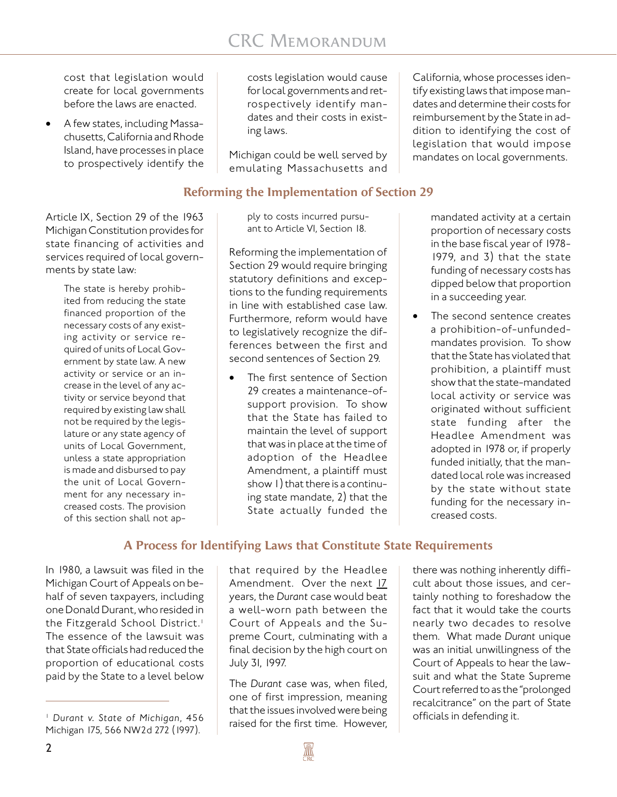cost that legislation would create for local governments before the laws are enacted.

• A few states, including Massachusetts, California and Rhode Island, have processes in place to prospectively identify the

Article IX, Section 29 of the 1963 Michigan Constitution provides for state financing of activities and services required of local governments by state law:

> The state is hereby prohibited from reducing the state financed proportion of the necessary costs of any existing activity or service required of units of Local Government by state law. A new activity or service or an increase in the level of any activity or service beyond that required by existing law shall not be required by the legislature or any state agency of units of Local Government, unless a state appropriation is made and disbursed to pay the unit of Local Government for any necessary increased costs. The provision of this section shall not ap-

costs legislation would cause for local governments and retrospectively identify mandates and their costs in existing laws.

Michigan could be well served by emulating Massachusetts and

#### **Reforming the Implementation of Section 29**

ply to costs incurred pursuant to Article VI, Section 18.

Reforming the implementation of Section 29 would require bringing statutory definitions and exceptions to the funding requirements in line with established case law. Furthermore, reform would have to legislatively recognize the differences between the first and second sentences of Section 29.

The first sentence of Section 29 creates a maintenance-ofsupport provision. To show that the State has failed to maintain the level of support that was in place at the time of adoption of the Headlee Amendment, a plaintiff must show 1) that there is a continuing state mandate, 2) that the State actually funded the

California, whose processes identify existing laws that impose mandates and determine their costs for reimbursement by the State in addition to identifying the cost of legislation that would impose mandates on local governments.

> mandated activity at a certain proportion of necessary costs in the base fiscal year of 1978- 1979, and 3) that the state funding of necessary costs has dipped below that proportion in a succeeding year.

• The second sentence creates a prohibition-of-unfundedmandates provision. To show that the State has violated that prohibition, a plaintiff must show that the state-mandated local activity or service was originated without sufficient state funding after the Headlee Amendment was adopted in 1978 or, if properly funded initially, that the mandated local role was increased by the state without state funding for the necessary increased costs.

## **A Process for Identifying Laws that Constitute State Requirements**

In 1980, a lawsuit was filed in the Michigan Court of Appeals on behalf of seven taxpayers, including one Donald Durant, who resided in the Fitzgerald School District.<sup>1</sup> The essence of the lawsuit was that State officials had reduced the proportion of educational costs paid by the State to a level below

that required by the Headlee Amendment. Over the next 17 years, the *Durant* case would beat a well-worn path between the Court of Appeals and the Supreme Court, culminating with a final decision by the high court on July 31, 1997.

The *Durant* case was, when filed, one of first impression, meaning that the issues involved were being raised for the first time. However, officials in defending it. <sup>1</sup> *Durant v. State of Michigan*, 456

there was nothing inherently difficult about those issues, and certainly nothing to foreshadow the fact that it would take the courts nearly two decades to resolve them. What made *Durant* unique was an initial unwillingness of the Court of Appeals to hear the lawsuit and what the State Supreme Court referred to as the "prolonged recalcitrance" on the part of State

Michigan 175, 566 NW2d 272 (1997).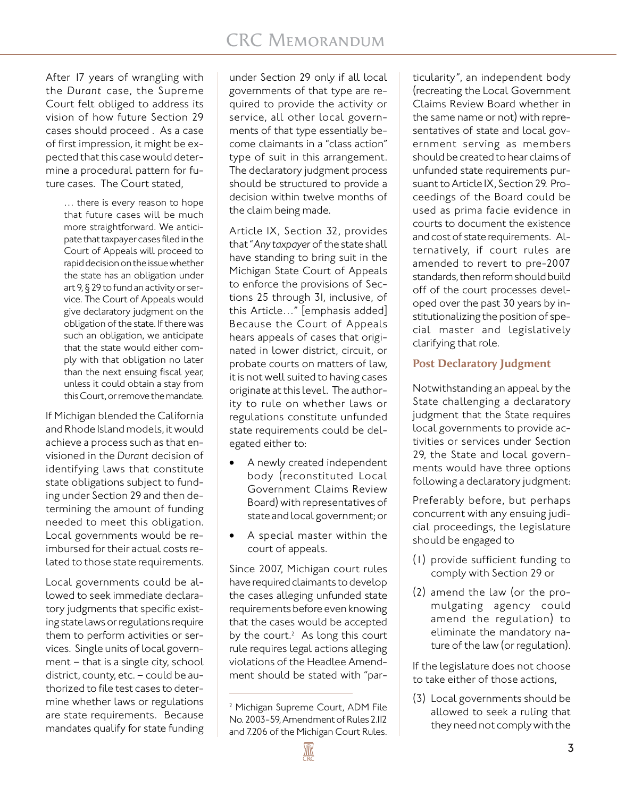After 17 years of wrangling with the *Durant* case, the Supreme Court felt obliged to address its vision of how future Section 29 cases should proceed . As a case of first impression, it might be expected that this case would determine a procedural pattern for future cases. The Court stated,

> … there is every reason to hope that future cases will be much more straightforward. We anticipate that taxpayer cases filed in the Court of Appeals will proceed to rapid decision on the issue whether the state has an obligation under art 9, § 29 to fund an activity or service. The Court of Appeals would give declaratory judgment on the obligation of the state. If there was such an obligation, we anticipate that the state would either comply with that obligation no later than the next ensuing fiscal year, unless it could obtain a stay from this Court, or remove the mandate.

If Michigan blended the California and Rhode Island models, it would achieve a process such as that envisioned in the *Durant* decision of identifying laws that constitute state obligations subject to funding under Section 29 and then determining the amount of funding needed to meet this obligation. Local governments would be reimbursed for their actual costs related to those state requirements.

Local governments could be allowed to seek immediate declaratory judgments that specific existing state laws or regulations require them to perform activities or services. Single units of local government – that is a single city, school district, county, etc. – could be authorized to file test cases to determine whether laws or regulations are state requirements. Because mandates qualify for state funding

under Section 29 only if all local governments of that type are required to provide the activity or service, all other local governments of that type essentially become claimants in a "class action" type of suit in this arrangement. The declaratory judgment process should be structured to provide a decision within twelve months of the claim being made.

Article IX, Section 32, provides that "*Any taxpayer* of the state shall have standing to bring suit in the Michigan State Court of Appeals to enforce the provisions of Sections 25 through 31, inclusive, of this Article…" [emphasis added] Because the Court of Appeals hears appeals of cases that originated in lower district, circuit, or probate courts on matters of law, it is not well suited to having cases originate at this level. The authority to rule on whether laws or regulations constitute unfunded state requirements could be delegated either to:

- A newly created independent body (reconstituted Local Government Claims Review Board) with representatives of state and local government; or
- A special master within the court of appeals.

Since 2007, Michigan court rules have required claimants to develop the cases alleging unfunded state requirements before even knowing that the cases would be accepted by the court.<sup>2</sup> As long this court rule requires legal actions alleging violations of the Headlee Amendment should be stated with "par-

**AN** 

ticularity", an independent body (recreating the Local Government Claims Review Board whether in the same name or not) with representatives of state and local government serving as members should be created to hear claims of unfunded state requirements pursuant to Article IX, Section 29. Proceedings of the Board could be used as prima facie evidence in courts to document the existence and cost of state requirements. Alternatively, if court rules are amended to revert to pre-2007 standards, then reform should build off of the court processes developed over the past 30 years by institutionalizing the position of special master and legislatively clarifying that role.

#### **Post Declaratory Judgment**

Notwithstanding an appeal by the State challenging a declaratory judgment that the State requires local governments to provide activities or services under Section 29, the State and local governments would have three options following a declaratory judgment:

Preferably before, but perhaps concurrent with any ensuing judicial proceedings, the legislature should be engaged to

- (1) provide sufficient funding to comply with Section 29 or
- (2) amend the law (or the promulgating agency could amend the regulation) to eliminate the mandatory nature of the law (or regulation).

If the legislature does not choose to take either of those actions,

(3) Local governments should be allowed to seek a ruling that they need not comply with the

<sup>&</sup>lt;sup>2</sup> Michigan Supreme Court, ADM File No. 2003-59, Amendment of Rules 2.112 and 7.206 of the Michigan Court Rules.